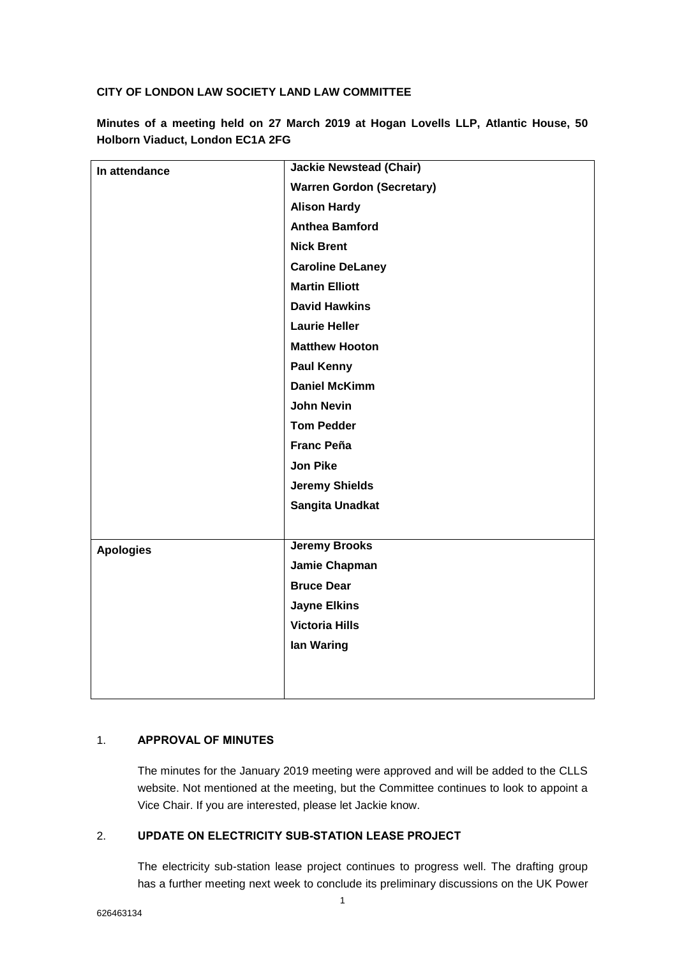## **CITY OF LONDON LAW SOCIETY LAND LAW COMMITTEE**

| In attendance    | <b>Jackie Newstead (Chair)</b>   |
|------------------|----------------------------------|
|                  | <b>Warren Gordon (Secretary)</b> |
|                  | <b>Alison Hardy</b>              |
|                  | <b>Anthea Bamford</b>            |
|                  | <b>Nick Brent</b>                |
|                  | <b>Caroline DeLaney</b>          |
|                  | <b>Martin Elliott</b>            |
|                  | <b>David Hawkins</b>             |
|                  | <b>Laurie Heller</b>             |
|                  | <b>Matthew Hooton</b>            |
|                  | <b>Paul Kenny</b>                |
|                  | <b>Daniel McKimm</b>             |
|                  | <b>John Nevin</b>                |
|                  | <b>Tom Pedder</b>                |
|                  | <b>Franc Peña</b>                |
|                  | <b>Jon Pike</b>                  |
|                  | <b>Jeremy Shields</b>            |
|                  | Sangita Unadkat                  |
|                  |                                  |
| <b>Apologies</b> | <b>Jeremy Brooks</b>             |
|                  | Jamie Chapman                    |
|                  | <b>Bruce Dear</b>                |
|                  | <b>Jayne Elkins</b>              |
|                  | <b>Victoria Hills</b>            |
|                  | lan Waring                       |
|                  |                                  |
|                  |                                  |

**Minutes of a meeting held on 27 March 2019 at Hogan Lovells LLP, Atlantic House, 50 Holborn Viaduct, London EC1A 2FG**

# 1. **APPROVAL OF MINUTES**

The minutes for the January 2019 meeting were approved and will be added to the CLLS website. Not mentioned at the meeting, but the Committee continues to look to appoint a Vice Chair. If you are interested, please let Jackie know.

### 2. **UPDATE ON ELECTRICITY SUB-STATION LEASE PROJECT**

The electricity sub-station lease project continues to progress well. The drafting group has a further meeting next week to conclude its preliminary discussions on the UK Power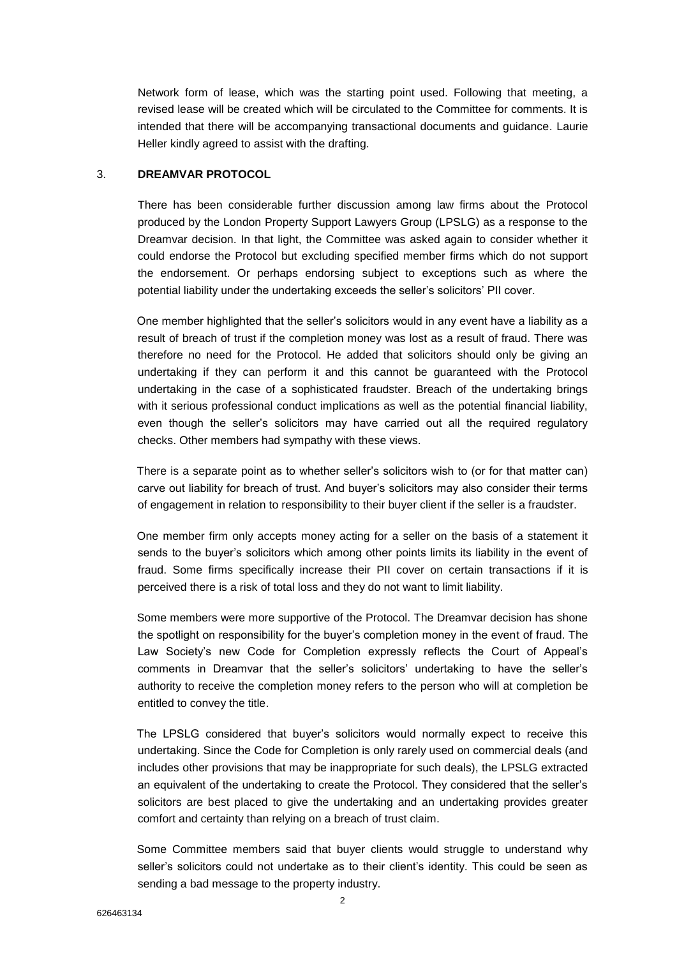Network form of lease, which was the starting point used. Following that meeting, a revised lease will be created which will be circulated to the Committee for comments. It is intended that there will be accompanying transactional documents and guidance. Laurie Heller kindly agreed to assist with the drafting.

# 3. **DREAMVAR PROTOCOL**

There has been considerable further discussion among law firms about the Protocol produced by the London Property Support Lawyers Group (LPSLG) as a response to the Dreamvar decision. In that light, the Committee was asked again to consider whether it could endorse the Protocol but excluding specified member firms which do not support the endorsement. Or perhaps endorsing subject to exceptions such as where the potential liability under the undertaking exceeds the seller's solicitors' PII cover.

One member highlighted that the seller's solicitors would in any event have a liability as a result of breach of trust if the completion money was lost as a result of fraud. There was therefore no need for the Protocol. He added that solicitors should only be giving an undertaking if they can perform it and this cannot be guaranteed with the Protocol undertaking in the case of a sophisticated fraudster. Breach of the undertaking brings with it serious professional conduct implications as well as the potential financial liability, even though the seller's solicitors may have carried out all the required regulatory checks. Other members had sympathy with these views.

There is a separate point as to whether seller's solicitors wish to (or for that matter can) carve out liability for breach of trust. And buyer's solicitors may also consider their terms of engagement in relation to responsibility to their buyer client if the seller is a fraudster.

One member firm only accepts money acting for a seller on the basis of a statement it sends to the buyer's solicitors which among other points limits its liability in the event of fraud. Some firms specifically increase their PII cover on certain transactions if it is perceived there is a risk of total loss and they do not want to limit liability.

Some members were more supportive of the Protocol. The Dreamvar decision has shone the spotlight on responsibility for the buyer's completion money in the event of fraud. The Law Society's new Code for Completion expressly reflects the Court of Appeal's comments in Dreamvar that the seller's solicitors' undertaking to have the seller's authority to receive the completion money refers to the person who will at completion be entitled to convey the title.

The LPSLG considered that buyer's solicitors would normally expect to receive this undertaking. Since the Code for Completion is only rarely used on commercial deals (and includes other provisions that may be inappropriate for such deals), the LPSLG extracted an equivalent of the undertaking to create the Protocol. They considered that the seller's solicitors are best placed to give the undertaking and an undertaking provides greater comfort and certainty than relying on a breach of trust claim.

Some Committee members said that buyer clients would struggle to understand why seller's solicitors could not undertake as to their client's identity. This could be seen as sending a bad message to the property industry.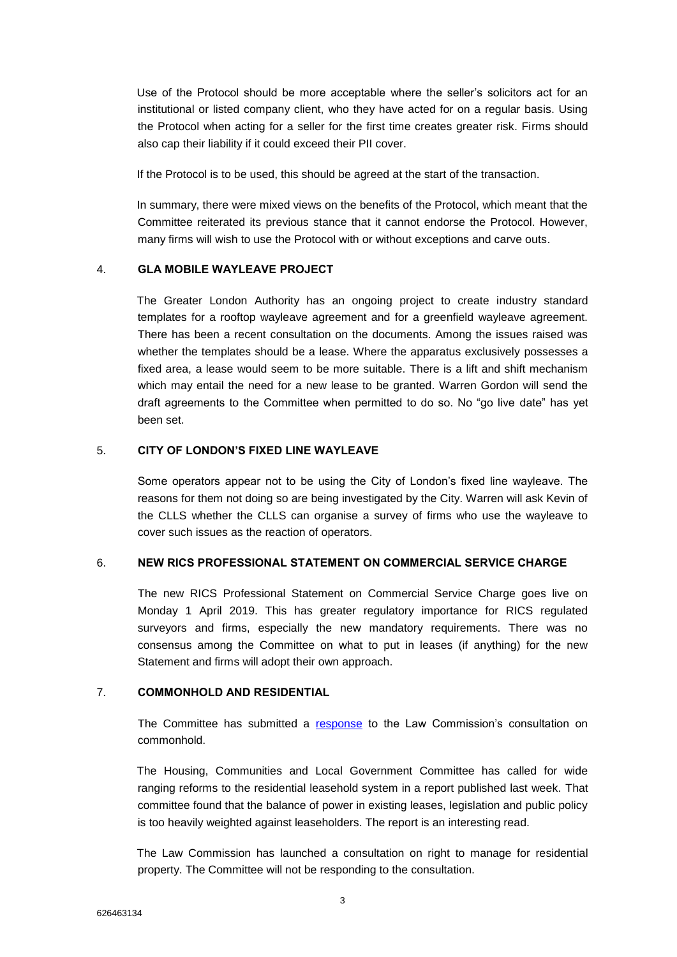Use of the Protocol should be more acceptable where the seller's solicitors act for an institutional or listed company client, who they have acted for on a regular basis. Using the Protocol when acting for a seller for the first time creates greater risk. Firms should also cap their liability if it could exceed their PII cover.

If the Protocol is to be used, this should be agreed at the start of the transaction.

In summary, there were mixed views on the benefits of the Protocol, which meant that the Committee reiterated its previous stance that it cannot endorse the Protocol. However, many firms will wish to use the Protocol with or without exceptions and carve outs.

### 4. **GLA MOBILE WAYLEAVE PROJECT**

The Greater London Authority has an ongoing project to create industry standard templates for a rooftop wayleave agreement and for a greenfield wayleave agreement. There has been a recent consultation on the documents. Among the issues raised was whether the templates should be a lease. Where the apparatus exclusively possesses a fixed area, a lease would seem to be more suitable. There is a lift and shift mechanism which may entail the need for a new lease to be granted. Warren Gordon will send the draft agreements to the Committee when permitted to do so. No "go live date" has yet been set.

### 5. **CITY OF LONDON'S FIXED LINE WAYLEAVE**

Some operators appear not to be using the City of London's fixed line wayleave. The reasons for them not doing so are being investigated by the City. Warren will ask Kevin of the CLLS whether the CLLS can organise a survey of firms who use the wayleave to cover such issues as the reaction of operators.

### 6. **NEW RICS PROFESSIONAL STATEMENT ON COMMERCIAL SERVICE CHARGE**

The new RICS Professional Statement on Commercial Service Charge goes live on Monday 1 April 2019. This has greater regulatory importance for RICS regulated surveyors and firms, especially the new mandatory requirements. There was no consensus among the Committee on what to put in leases (if anything) for the new Statement and firms will adopt their own approach.

### 7. **COMMONHOLD AND RESIDENTIAL**

The Committee has submitted a [response](http://www.citysolicitors.org.uk/attachments/article/114/Response%20of%20CLLS%20Land%20Law%20Committee%20to%20Law%20Commission%20Commonhold%20consultation%20-%2010%2003%2019.pdf) to the Law Commission's consultation on commonhold.

The Housing, Communities and Local Government Committee has called for wide ranging reforms to the residential leasehold system in a report published last week. That committee found that the balance of power in existing leases, legislation and public policy is too heavily weighted against leaseholders. The report is an interesting read.

The Law Commission has launched a consultation on right to manage for residential property. The Committee will not be responding to the consultation.